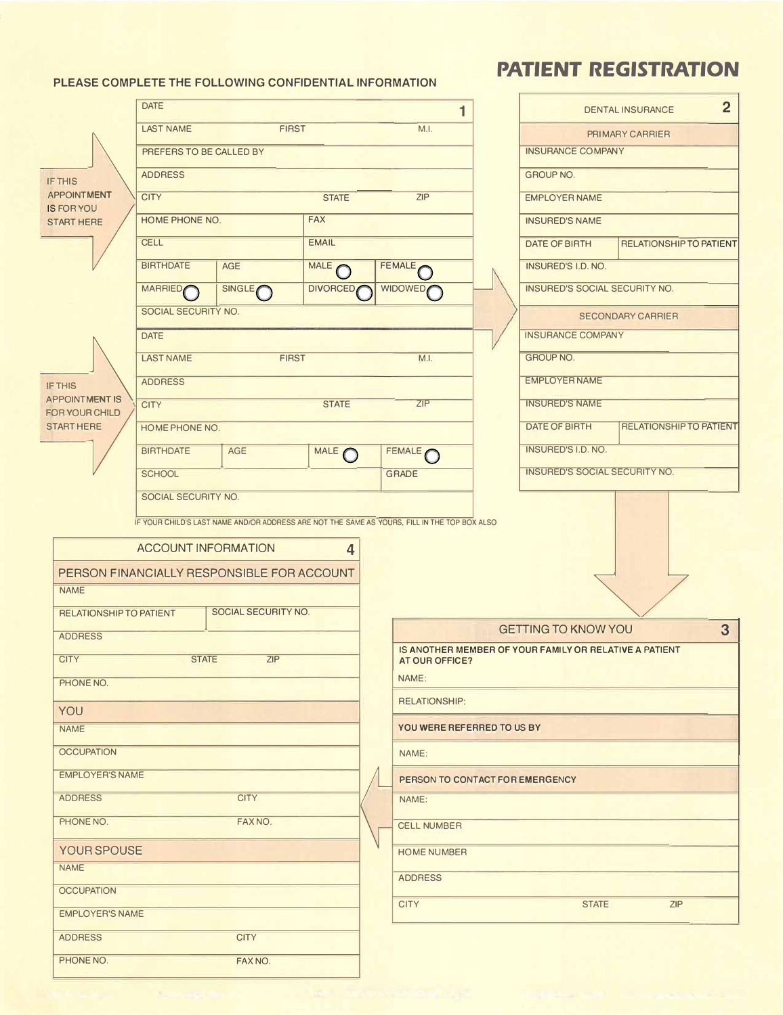PLEASE COMPLETE THE FOLLOWING CONFIDENTIAL INFORMATION

## **PATIENT REGISTRATION**

|                                            | <b>DATE</b>                              |                                            |                 | 1                                                                                            |  |                                                        | 2 <sup>2</sup><br><b>DENTAL INSURANCE</b> |  |
|--------------------------------------------|------------------------------------------|--------------------------------------------|-----------------|----------------------------------------------------------------------------------------------|--|--------------------------------------------------------|-------------------------------------------|--|
|                                            | <b>FIRST</b><br><b>LAST NAME</b><br>M.I. |                                            |                 |                                                                                              |  |                                                        | PRIMARY CARRIER                           |  |
|                                            | PREFERS TO BE CALLED BY                  |                                            |                 |                                                                                              |  | <b>INSURANCE COMPANY</b>                               |                                           |  |
| <b>IF THIS</b>                             | <b>ADDRESS</b>                           |                                            |                 |                                                                                              |  | <b>GROUP NO.</b>                                       |                                           |  |
| <b>APPOINTMENT</b>                         | <b>CITY</b>                              |                                            | <b>STATE</b>    | ZIP                                                                                          |  | <b>EMPLOYER NAME</b>                                   |                                           |  |
| <b>IS FOR YOU</b><br><b>START HERE</b>     | HOME PHONE NO.                           |                                            | <b>FAX</b>      |                                                                                              |  | <b>INSURED'S NAME</b>                                  |                                           |  |
|                                            | <b>CELL</b>                              |                                            | <b>EMAIL</b>    |                                                                                              |  | DATE OF BIRTH                                          | <b>RELATIONSHIP TO PATIENT</b>            |  |
|                                            | <b>BIRTHDATE</b>                         | AGE                                        | MALE            | FEMALE O                                                                                     |  | <b>INSURED'S I.D. NO.</b>                              |                                           |  |
|                                            | <b>MARRIED</b>                           | SINGLE                                     | <b>DIVORCED</b> | <b>WIDOWED</b>                                                                               |  | INSURED'S SOCIAL SECURITY NO.                          |                                           |  |
|                                            | SOCIAL SECURITY NO.                      |                                            |                 |                                                                                              |  |                                                        | <b>SECONDARY CARRIER</b>                  |  |
|                                            | <b>DATE</b>                              |                                            |                 |                                                                                              |  | <b>INSURANCE COMPANY</b>                               |                                           |  |
|                                            | <b>LAST NAME</b>                         | <b>FIRST</b>                               |                 | M.I.                                                                                         |  | <b>GROUP NO.</b>                                       |                                           |  |
| <b>IF THIS</b>                             | <b>ADDRESS</b>                           |                                            |                 |                                                                                              |  |                                                        | <b>EMPLOYER NAME</b>                      |  |
| <b>APPOINTMENT IS</b>                      | <b>CITY</b>                              |                                            | <b>STATE</b>    | ZIP                                                                                          |  | <b>INSURED'S NAME</b>                                  |                                           |  |
| <b>FOR YOUR CHILD</b><br><b>START HERE</b> | HOME PHONE NO.                           |                                            |                 |                                                                                              |  | DATE OF BIRTH                                          | <b>RELATIONSHIP TO PATIENT</b>            |  |
|                                            | <b>BIRTHDATE</b>                         | AGE                                        | MALE O          | FEMALE O                                                                                     |  | INSURED'S I.D. NO.                                     |                                           |  |
|                                            | <b>SCHOOL</b>                            |                                            |                 | <b>GRADE</b>                                                                                 |  | INSURED'S SOCIAL SECURITY NO.                          |                                           |  |
|                                            | SOCIAL SECURITY NO.                      |                                            |                 |                                                                                              |  |                                                        |                                           |  |
|                                            |                                          |                                            |                 | IF YOUR CHILD'S LAST NAME AND/OR ADDRESS ARE NOT THE SAME AS YOURS, FILL IN THE TOP BOX ALSO |  |                                                        |                                           |  |
|                                            | <b>ACCOUNT INFORMATION</b>               |                                            | 4               |                                                                                              |  |                                                        |                                           |  |
|                                            |                                          | PERSON FINANCIALLY RESPONSIBLE FOR ACCOUNT |                 |                                                                                              |  |                                                        |                                           |  |
| <b>NAME</b>                                |                                          |                                            |                 |                                                                                              |  |                                                        |                                           |  |
| <b>RELATIONSHIP TO PATIENT</b>             |                                          | SOCIAL SECURITY NO.                        |                 |                                                                                              |  |                                                        |                                           |  |
| <b>ADDRESS</b>                             |                                          |                                            |                 |                                                                                              |  | <b>GETTING TO KNOW YOU</b>                             | 3                                         |  |
| <b>CITY</b>                                | <b>STATE</b>                             | ZIP                                        |                 | AT OUR OFFICE?                                                                               |  | IS ANOTHER MEMBER OF YOUR FAMILY OR RELATIVE A PATIENT |                                           |  |
| PHONE NO.                                  |                                          |                                            |                 | NAME:                                                                                        |  |                                                        |                                           |  |
| <b>YOU</b>                                 |                                          |                                            |                 | <b>RELATIONSHIP:</b>                                                                         |  |                                                        |                                           |  |
| <b>NAME</b>                                |                                          |                                            |                 | YOU WERE REFERRED TO US BY                                                                   |  |                                                        |                                           |  |
| <b>OCCUPATION</b>                          |                                          |                                            |                 | NAME:                                                                                        |  |                                                        |                                           |  |
| <b>EMPLOYER'S NAME</b>                     |                                          |                                            |                 |                                                                                              |  |                                                        |                                           |  |
| <b>ADDRESS</b>                             |                                          | <b>CITY</b>                                |                 | PERSON TO CONTACT FOR EMERGENCY<br>NAME:                                                     |  |                                                        |                                           |  |
| PHONE NO.                                  |                                          | FAX NO.                                    |                 |                                                                                              |  |                                                        |                                           |  |
|                                            |                                          |                                            |                 | <b>CELL NUMBER</b>                                                                           |  |                                                        |                                           |  |
| YOUR SPOUSE<br><b>NAME</b>                 |                                          |                                            |                 | <b>HOME NUMBER</b>                                                                           |  |                                                        |                                           |  |
| <b>OCCUPATION</b>                          |                                          |                                            |                 | <b>ADDRESS</b>                                                                               |  |                                                        |                                           |  |
| <b>EMPLOYER'S NAME</b>                     |                                          |                                            |                 | <b>CITY</b>                                                                                  |  | <b>STATE</b>                                           | <b>ZIP</b>                                |  |
| <b>ADDRESS</b>                             |                                          | <b>CITY</b>                                |                 |                                                                                              |  |                                                        |                                           |  |
| PHONE NO.                                  |                                          | FAX NO.                                    |                 |                                                                                              |  |                                                        |                                           |  |
|                                            |                                          |                                            |                 |                                                                                              |  |                                                        |                                           |  |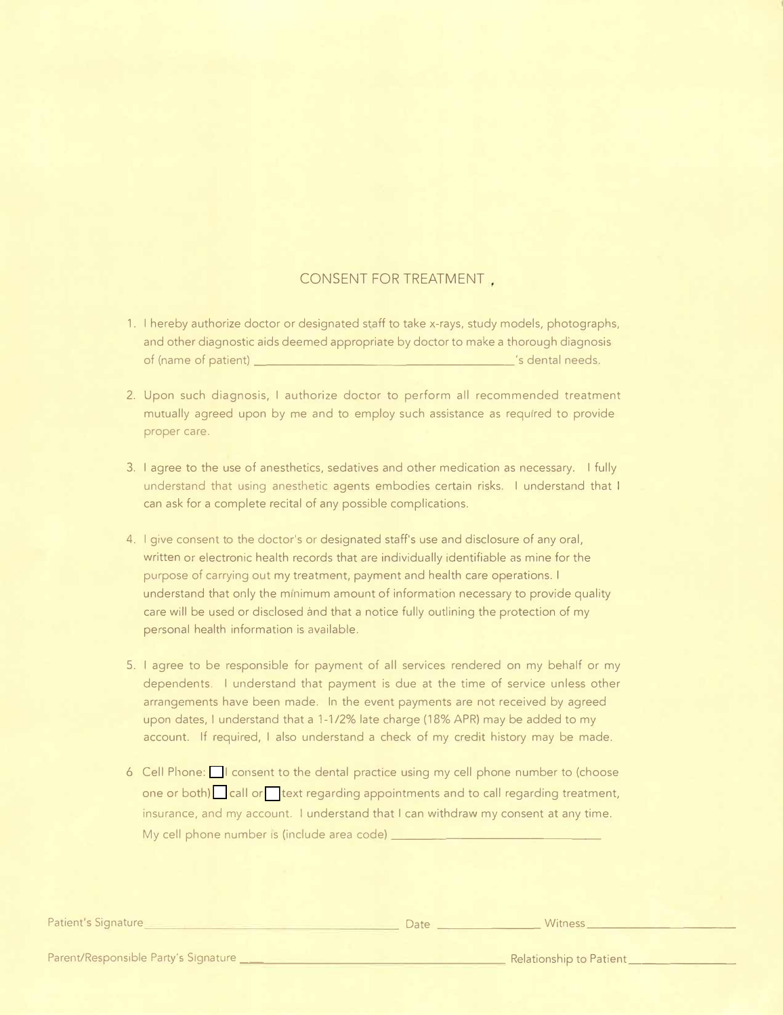## CONSENT FOR TREATMENT

- 1. I hereby authorize doctor or designated staff to take x-rays, study models, photographs, and other diagnostic aids deemed appropriate by doctor to make a thorough diagnosis of (name of patient) \_\_\_\_\_\_\_\_\_\_\_\_\_\_\_\_\_\_\_ 's dental needs.
- 2. Upon such diagnosis, I authorize doctor to perform all recommended treatment mutually agreed upon by me and to employ such assistance as required to provide proper care.
- 3. I agree to the use of anesthetics, sedatives and other medication as necessary. I fully understand that using anesthetic agents embodies certain risks. I understand that I can ask for a complete recital of any possible complications.
- 4. I give consent to the doctor's or designated staff's use and disclosure of any oral, written or electronic health records that are individually identifiable as mine for the purpose of carrying out my treatment, payment and health care operations. I understand that only the minimum amount of information necessary to provide quality care will be used or disclosed and that a notice fully outlining the protection of my personal health information is available.
- 5. I agree to be responsible for payment of all services rendered on my behalf or my dependents. I understand that payment is due at the time of service unless other arrangements have been made. In the event payments are not received by agreed upon dates, I understand that a 1-1 /2% late charge (18% APR) may be added to my account. If required, I also understand a check of my credit history may be made.
- 6 Cell Phone:  $\Box$  I consent to the dental practice using my cell phone number to (choose one or both) call or text regarding appointments and to call regarding treatment, insurance, and my account. I understand that I can withdraw my consent at any time. My cell phone number is (include area code) \_\_\_\_\_\_\_\_

Patient's Signature Date \_\_\_\_\_\_\_\_ Witness \_\_\_\_\_\_\_\_\_\_ \_

Parent/Responsible Party's Signature \_\_ Relationship to Patient \_\_\_\_\_\_\_ \_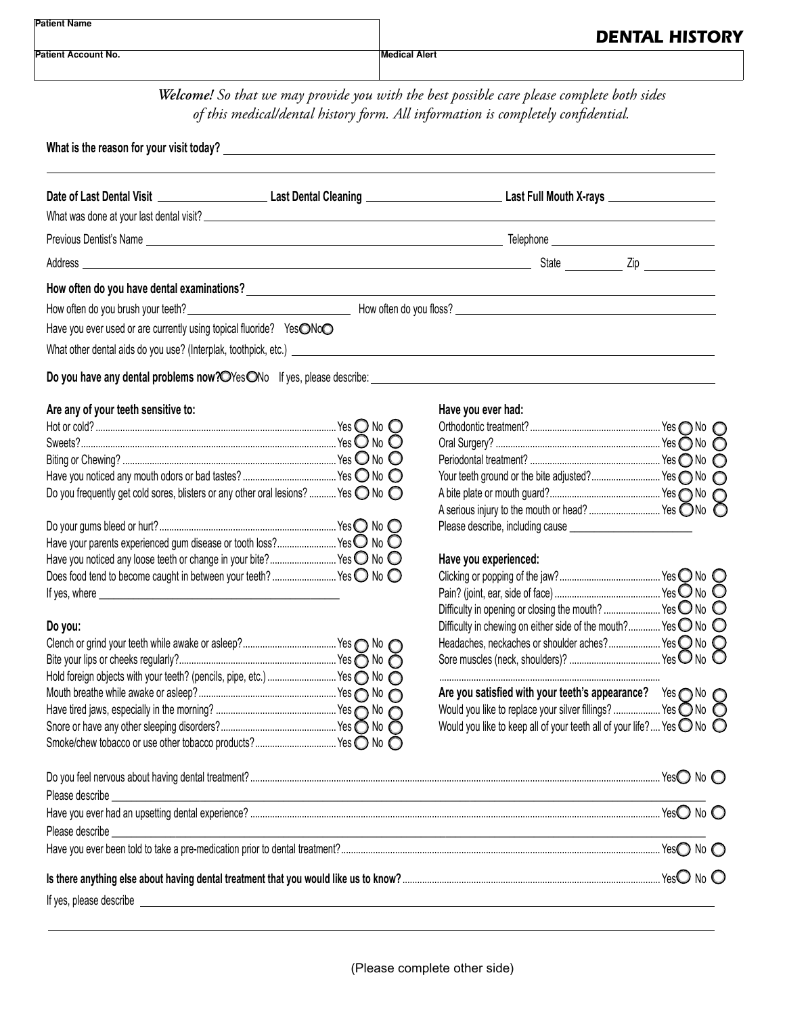| <b>Patient Name</b> | <b>DENTAL HISTORY</b> |
|---------------------|-----------------------|
| Patient Account No. | <b>Medical Alert</b>  |

*Welcome! So that we may provide you with the best possible care please complete both sides of this medical/dental history form. All information is completely confidential.*

|                                                                     | What is the reason for your visit today? $\overline{\phantom{a}}$ . The contract of the contract of the contract of the contract of the contract of the contract of the contract of the contract of the contract of the contract of the co |                                                   |                                                                                                                 |
|---------------------------------------------------------------------|--------------------------------------------------------------------------------------------------------------------------------------------------------------------------------------------------------------------------------------------|---------------------------------------------------|-----------------------------------------------------------------------------------------------------------------|
|                                                                     |                                                                                                                                                                                                                                            |                                                   |                                                                                                                 |
|                                                                     |                                                                                                                                                                                                                                            |                                                   |                                                                                                                 |
|                                                                     |                                                                                                                                                                                                                                            |                                                   |                                                                                                                 |
|                                                                     |                                                                                                                                                                                                                                            |                                                   |                                                                                                                 |
|                                                                     |                                                                                                                                                                                                                                            |                                                   |                                                                                                                 |
|                                                                     |                                                                                                                                                                                                                                            |                                                   |                                                                                                                 |
| Have you ever used or are currently using topical fluoride? YesONoO |                                                                                                                                                                                                                                            |                                                   |                                                                                                                 |
|                                                                     |                                                                                                                                                                                                                                            |                                                   |                                                                                                                 |
|                                                                     |                                                                                                                                                                                                                                            |                                                   |                                                                                                                 |
| Are any of your teeth sensitive to:                                 |                                                                                                                                                                                                                                            | Have you ever had:                                |                                                                                                                 |
|                                                                     |                                                                                                                                                                                                                                            |                                                   |                                                                                                                 |
|                                                                     |                                                                                                                                                                                                                                            |                                                   |                                                                                                                 |
|                                                                     |                                                                                                                                                                                                                                            |                                                   |                                                                                                                 |
|                                                                     | Do you frequently get cold sores, blisters or any other oral lesions?  Yes $\bigcirc$ No $\bigcirc$                                                                                                                                        |                                                   |                                                                                                                 |
|                                                                     |                                                                                                                                                                                                                                            | A serious injury to the mouth or head?  Yes ONo O |                                                                                                                 |
|                                                                     |                                                                                                                                                                                                                                            |                                                   |                                                                                                                 |
|                                                                     | Have your parents experienced gum disease or tooth loss? Yes O No O                                                                                                                                                                        |                                                   |                                                                                                                 |
|                                                                     | Have you noticed any loose teeth or change in your bite? Yes O No O                                                                                                                                                                        | Have you experienced:                             |                                                                                                                 |
|                                                                     | Does food tend to become caught in between your teeth?  Yes O No O                                                                                                                                                                         |                                                   | the contract of the contract of the contract of the contract of the contract of the contract of the contract of |

|                                                                       | Headaches, neckaches or shoulder aches? Yes O No                             |                   |
|-----------------------------------------------------------------------|------------------------------------------------------------------------------|-------------------|
|                                                                       |                                                                              |                   |
| Hold foreign objects with your teeth? (pencils, pipe, etc.)  Yes   No |                                                                              |                   |
|                                                                       | Are you satisfied with your teeth's appearance?                              | Yes $\bigcirc$ No |
|                                                                       | Would you like to replace your silver fillings?  Yes O No                    |                   |
|                                                                       | Would you like to keep all of your teeth all of your life? Yes $\bigcirc$ No |                   |
|                                                                       |                                                                              |                   |

| Does food tend to become caught in between your teeth? Yes $\bigcirc$ No $\bigcirc$      |                                                                           |  |
|------------------------------------------------------------------------------------------|---------------------------------------------------------------------------|--|
| If yes, where                                                                            |                                                                           |  |
|                                                                                          | Difficulty in opening or closing the mouth?  Yes $\bigcirc$ No $\bigcirc$ |  |
| Do you:                                                                                  | Difficulty in chewing on either side of the mouth? Yes O No O             |  |
|                                                                                          |                                                                           |  |
|                                                                                          |                                                                           |  |
| Hold foreign objects with your teeth? (pencils, pipe, etc.) Yes $\bigcirc$ No $\bigcirc$ |                                                                           |  |

| Are you satisfied with your teeth's appearance?                                                                       |  |
|-----------------------------------------------------------------------------------------------------------------------|--|
| Are you satisfied with your teeth's appearance? Yes ONo O<br>Would you like to replace your silver fillings?  Yes ONo |  |
| Would you like to keep all of your teeth all of your life? Yes $\bigcirc$ No $\bigcirc$                               |  |